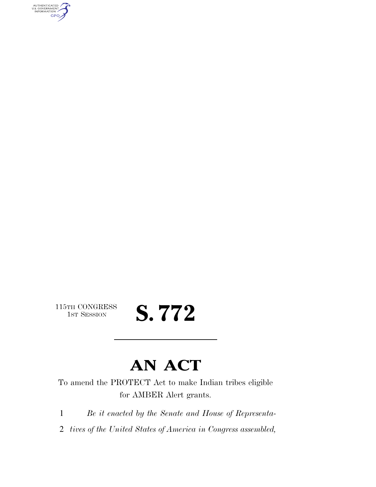AUTHENTICATED<br>U.S. GOVERNMENT<br>INFORMATION **GPO** 

115TH CONGRESS<br>1st Session

# S. 772

### **AN ACT**

To amend the PROTECT Act to make Indian tribes eligible for AMBER Alert grants.

1 *Be it enacted by the Senate and House of Representa-*

2 *tives of the United States of America in Congress assembled,*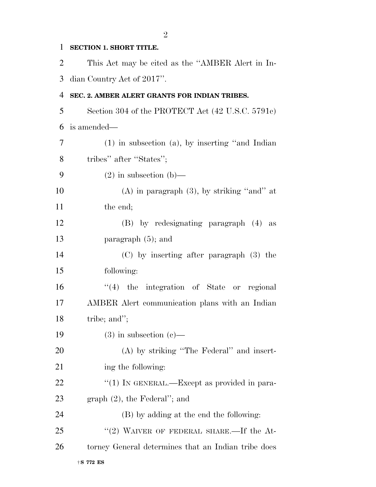### 1 **SECTION 1. SHORT TITLE.**

2 This Act may be cited as the ''AMBER Alert in In-3 dian Country Act of 2017''.

#### 4 **SEC. 2. AMBER ALERT GRANTS FOR INDIAN TRIBES.**

5 Section 304 of the PROTECT Act (42 U.S.C. 5791c) 6 is amended—

7 (1) in subsection (a), by inserting ''and Indian 8 tribes" after "States"; 9 (2) in subsection (b)— 10 (A) in paragraph  $(3)$ , by striking "and" at 11 the end; 12 (B) by redesignating paragraph (4) as 13 paragraph (5); and 14 (C) by inserting after paragraph (3) the 15 following: 16 ''(4) the integration of State or regional 17 AMBER Alert communication plans with an Indian 18 tribe; and"; 19 (3) in subsection  $(c)$ — 20 (A) by striking ''The Federal'' and insert-21 ing the following: 22  $\frac{u(1)}{N}$  IN GENERAL.—Except as provided in para-23 graph (2), the Federal''; and 24 (B) by adding at the end the following: 25 "(2) WAIVER OF FEDERAL SHARE.—If the At-26 torney General determines that an Indian tribe does

†**S 772 ES**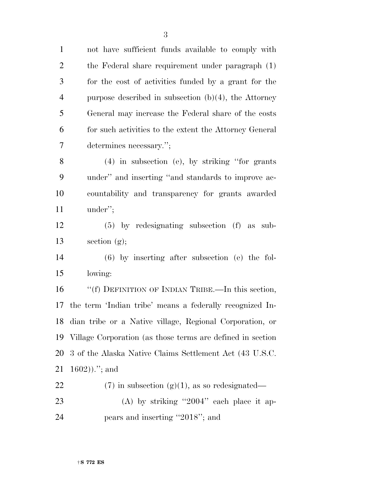not have sufficient funds available to comply with the Federal share requirement under paragraph (1) for the cost of activities funded by a grant for the purpose described in subsection (b)(4), the Attorney General may increase the Federal share of the costs for such activities to the extent the Attorney General determines necessary.''; (4) in subsection (e), by striking ''for grants under'' and inserting ''and standards to improve ac- countability and transparency for grants awarded under''; (5) by redesignating subsection (f) as sub- section (g); (6) by inserting after subsection (e) the fol- lowing: ''(f) DEFINITION OF INDIAN TRIBE.—In this section, the term 'Indian tribe' means a federally recognized In- dian tribe or a Native village, Regional Corporation, or Village Corporation (as those terms are defined in section 3 of the Alaska Native Claims Settlement Act (43 U.S.C.  $21 \t1602)$ .''; and 22 (7) in subsection  $(g)(1)$ , as so redesignated— 23 (A) by striking "2004" each place it ap-24 pears and inserting "2018"; and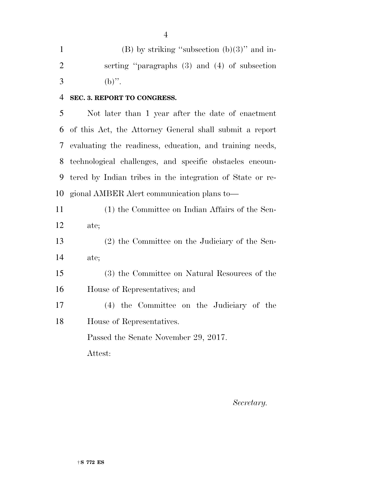1 (B) by striking "subsection  $(b)(3)$ " and in- serting ''paragraphs (3) and (4) of subsection 3 (b)".

**SEC. 3. REPORT TO CONGRESS.** 

 Not later than 1 year after the date of enactment of this Act, the Attorney General shall submit a report evaluating the readiness, education, and training needs, technological challenges, and specific obstacles encoun- tered by Indian tribes in the integration of State or re-gional AMBER Alert communication plans to—

| 11 | (1) the Committee on Indian Affairs of the Sen- |
|----|-------------------------------------------------|
| 12 | ate;                                            |
| 13 | (2) the Committee on the Judiciary of the Sen-  |
| 14 | ate;                                            |
| 15 | (3) the Committee on Natural Resources of the   |
| 16 | House of Representatives; and                   |
| 17 | (4) the Committee on the Judiciary of the       |
| 18 | House of Representatives.                       |
|    | Passed the Senate November 29, 2017.            |
|    | Attest:                                         |
|    |                                                 |

*Secretary.*